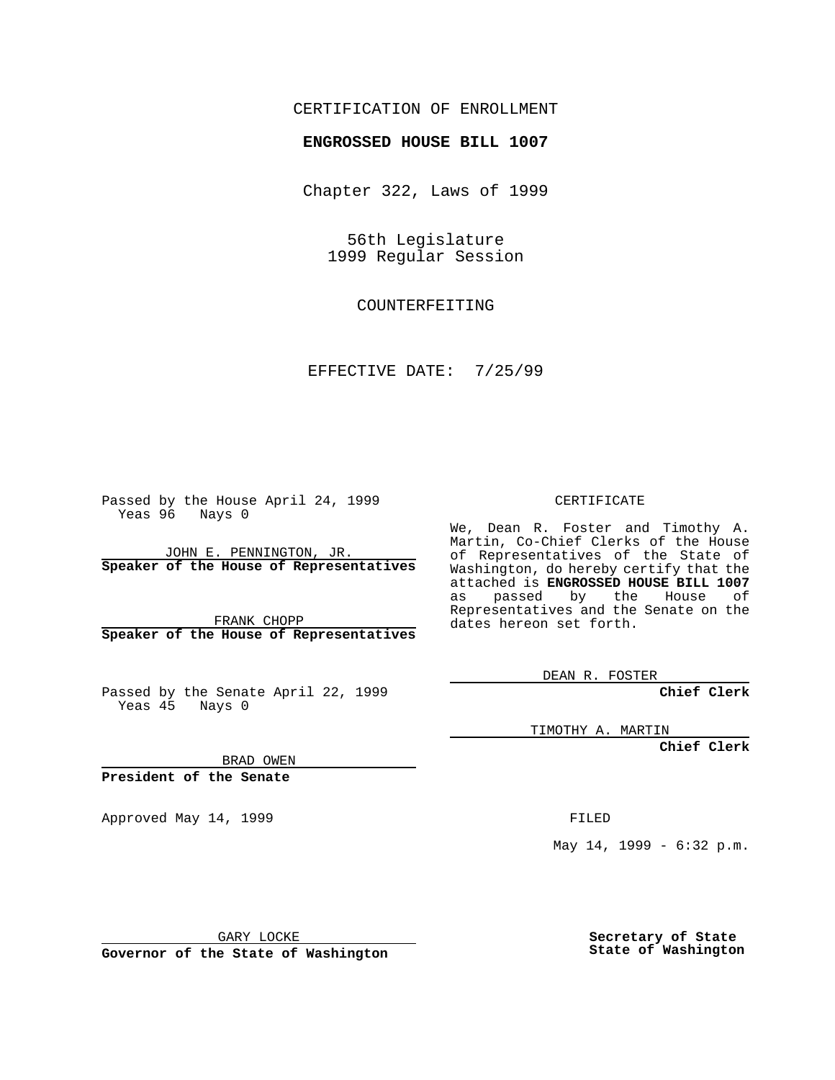### CERTIFICATION OF ENROLLMENT

# **ENGROSSED HOUSE BILL 1007**

Chapter 322, Laws of 1999

56th Legislature 1999 Regular Session

COUNTERFEITING

EFFECTIVE DATE: 7/25/99

Passed by the House April 24, 1999 Yeas 96 Nays 0

JOHN E. PENNINGTON, JR. **Speaker of the House of Representatives**

FRANK CHOPP **Speaker of the House of Representatives**

Passed by the Senate April 22, 1999 Yeas 45 Nays 0

CERTIFICATE

We, Dean R. Foster and Timothy A. Martin, Co-Chief Clerks of the House of Representatives of the State of Washington, do hereby certify that the attached is **ENGROSSED HOUSE BILL 1007** as passed by the House of Representatives and the Senate on the dates hereon set forth.

DEAN R. FOSTER

**Chief Clerk**

TIMOTHY A. MARTIN

**Chief Clerk**

BRAD OWEN

**President of the Senate**

Approved May 14, 1999 **FILED** 

May 14, 1999 - 6:32 p.m.

GARY LOCKE

**Governor of the State of Washington**

**Secretary of State State of Washington**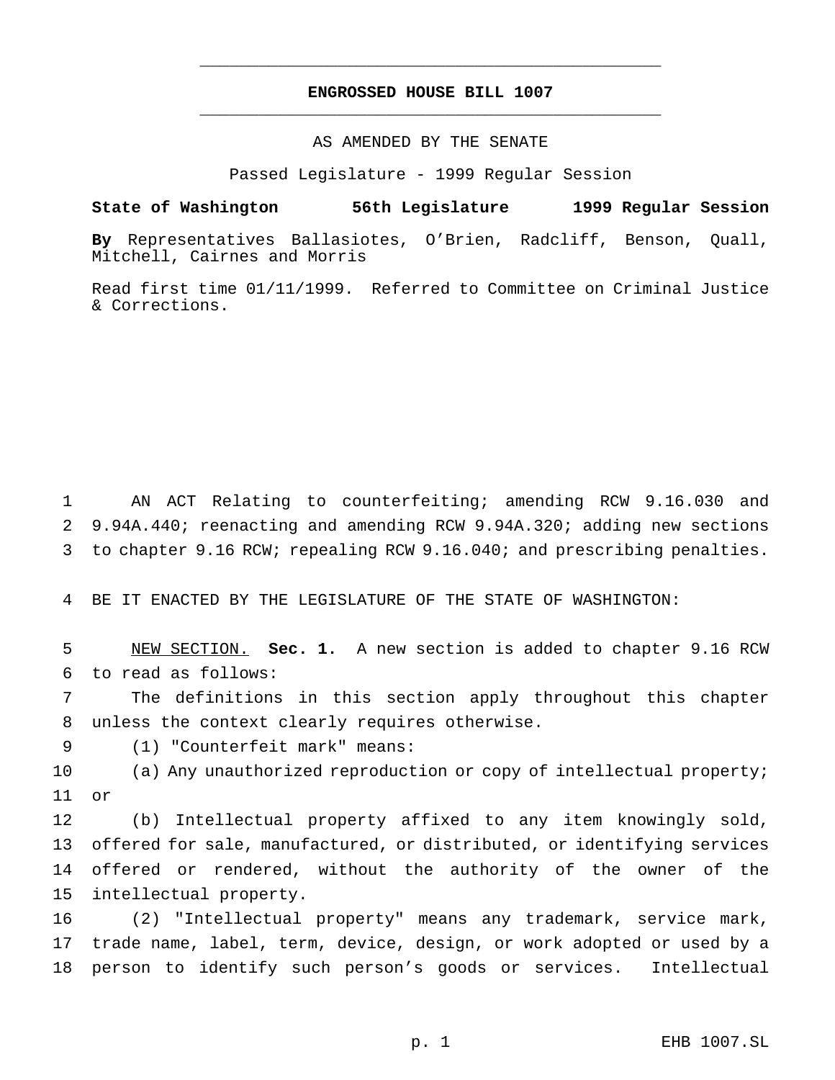## **ENGROSSED HOUSE BILL 1007** \_\_\_\_\_\_\_\_\_\_\_\_\_\_\_\_\_\_\_\_\_\_\_\_\_\_\_\_\_\_\_\_\_\_\_\_\_\_\_\_\_\_\_\_\_\_\_

\_\_\_\_\_\_\_\_\_\_\_\_\_\_\_\_\_\_\_\_\_\_\_\_\_\_\_\_\_\_\_\_\_\_\_\_\_\_\_\_\_\_\_\_\_\_\_

AS AMENDED BY THE SENATE

Passed Legislature - 1999 Regular Session

#### **State of Washington 56th Legislature 1999 Regular Session**

**By** Representatives Ballasiotes, O'Brien, Radcliff, Benson, Quall, Mitchell, Cairnes and Morris

Read first time 01/11/1999. Referred to Committee on Criminal Justice & Corrections.

 AN ACT Relating to counterfeiting; amending RCW 9.16.030 and 9.94A.440; reenacting and amending RCW 9.94A.320; adding new sections to chapter 9.16 RCW; repealing RCW 9.16.040; and prescribing penalties.

BE IT ENACTED BY THE LEGISLATURE OF THE STATE OF WASHINGTON:

 NEW SECTION. **Sec. 1.** A new section is added to chapter 9.16 RCW to read as follows:

 The definitions in this section apply throughout this chapter unless the context clearly requires otherwise.

(1) "Counterfeit mark" means:

 (a) Any unauthorized reproduction or copy of intellectual property; or

 (b) Intellectual property affixed to any item knowingly sold, offered for sale, manufactured, or distributed, or identifying services offered or rendered, without the authority of the owner of the intellectual property.

 (2) "Intellectual property" means any trademark, service mark, trade name, label, term, device, design, or work adopted or used by a person to identify such person's goods or services. Intellectual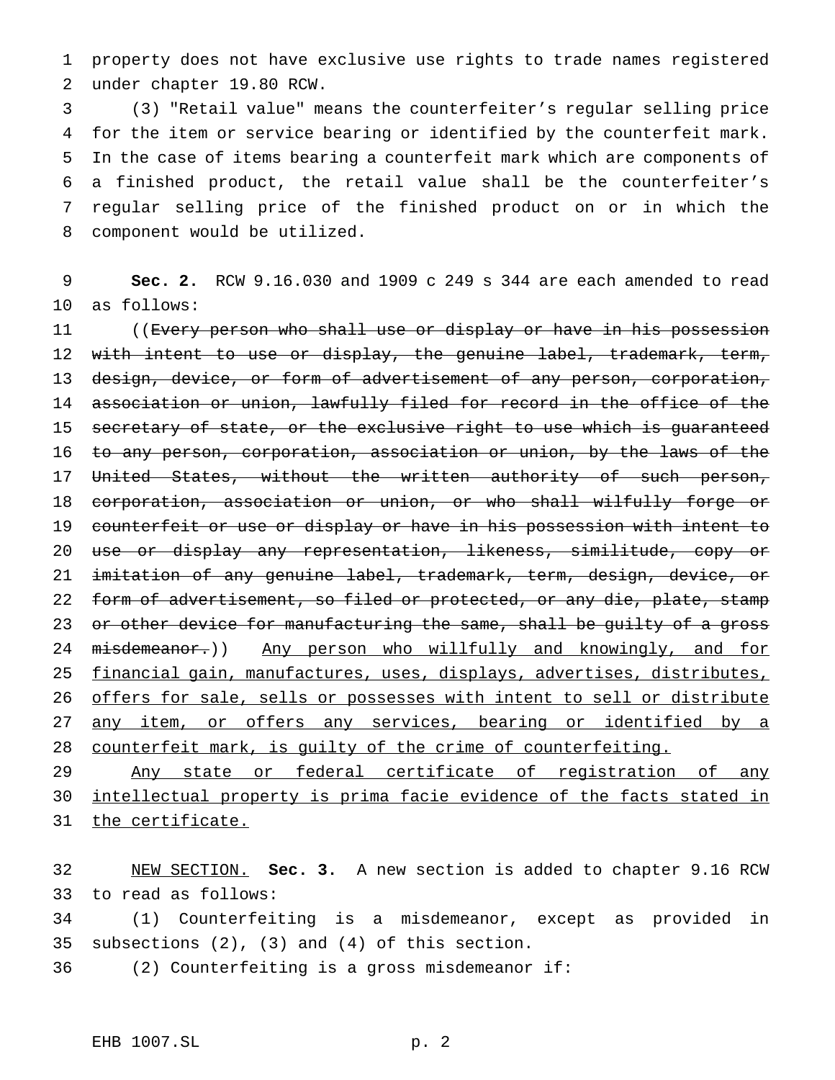property does not have exclusive use rights to trade names registered under chapter 19.80 RCW.

 (3) "Retail value" means the counterfeiter's regular selling price for the item or service bearing or identified by the counterfeit mark. In the case of items bearing a counterfeit mark which are components of a finished product, the retail value shall be the counterfeiter's regular selling price of the finished product on or in which the component would be utilized.

 **Sec. 2.** RCW 9.16.030 and 1909 c 249 s 344 are each amended to read as follows:

11 ((Every person who shall use or display or have in his possession 12 with intent to use or display, the genuine label, trademark, term, design, device, or form of advertisement of any person, corporation, association or union, lawfully filed for record in the office of the 15 secretary of state, or the exclusive right to use which is guaranteed to any person, corporation, association or union, by the laws of the United States, without the written authority of such person, corporation, association or union, or who shall wilfully forge or counterfeit or use or display or have in his possession with intent to use or display any representation, likeness, similitude, copy or imitation of any genuine label, trademark, term, design, device, or 22 form of advertisement, so filed or protected, or any die, plate, stamp 23 or other device for manufacturing the same, shall be guilty of a gross 24 misdemeanor.)) Any person who willfully and knowingly, and for financial gain, manufactures, uses, displays, advertises, distributes, 26 offers for sale, sells or possesses with intent to sell or distribute 27 any item, or offers any services, bearing or identified by a 28 counterfeit mark, is guilty of the crime of counterfeiting.

**Any state or federal certificate of registration of any**  intellectual property is prima facie evidence of the facts stated in 31 the certificate.

 NEW SECTION. **Sec. 3.** A new section is added to chapter 9.16 RCW to read as follows: (1) Counterfeiting is a misdemeanor, except as provided in subsections (2), (3) and (4) of this section. (2) Counterfeiting is a gross misdemeanor if: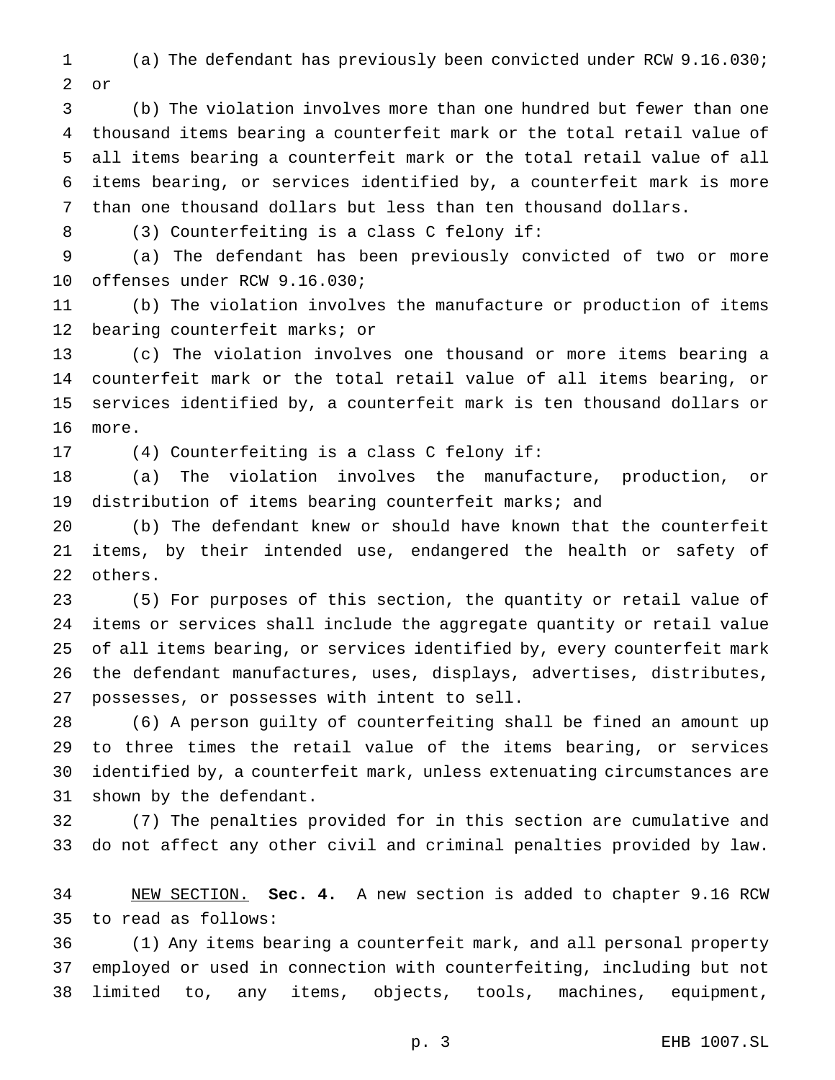(a) The defendant has previously been convicted under RCW 9.16.030; or

 (b) The violation involves more than one hundred but fewer than one thousand items bearing a counterfeit mark or the total retail value of all items bearing a counterfeit mark or the total retail value of all items bearing, or services identified by, a counterfeit mark is more than one thousand dollars but less than ten thousand dollars.

8 (3) Counterfeiting is a class C felony if:

 (a) The defendant has been previously convicted of two or more offenses under RCW 9.16.030;

 (b) The violation involves the manufacture or production of items bearing counterfeit marks; or

 (c) The violation involves one thousand or more items bearing a counterfeit mark or the total retail value of all items bearing, or services identified by, a counterfeit mark is ten thousand dollars or more.

(4) Counterfeiting is a class C felony if:

 (a) The violation involves the manufacture, production, or distribution of items bearing counterfeit marks; and

 (b) The defendant knew or should have known that the counterfeit items, by their intended use, endangered the health or safety of others.

 (5) For purposes of this section, the quantity or retail value of items or services shall include the aggregate quantity or retail value of all items bearing, or services identified by, every counterfeit mark the defendant manufactures, uses, displays, advertises, distributes, possesses, or possesses with intent to sell.

 (6) A person guilty of counterfeiting shall be fined an amount up to three times the retail value of the items bearing, or services identified by, a counterfeit mark, unless extenuating circumstances are shown by the defendant.

 (7) The penalties provided for in this section are cumulative and do not affect any other civil and criminal penalties provided by law.

 NEW SECTION. **Sec. 4.** A new section is added to chapter 9.16 RCW to read as follows:

 (1) Any items bearing a counterfeit mark, and all personal property employed or used in connection with counterfeiting, including but not limited to, any items, objects, tools, machines, equipment,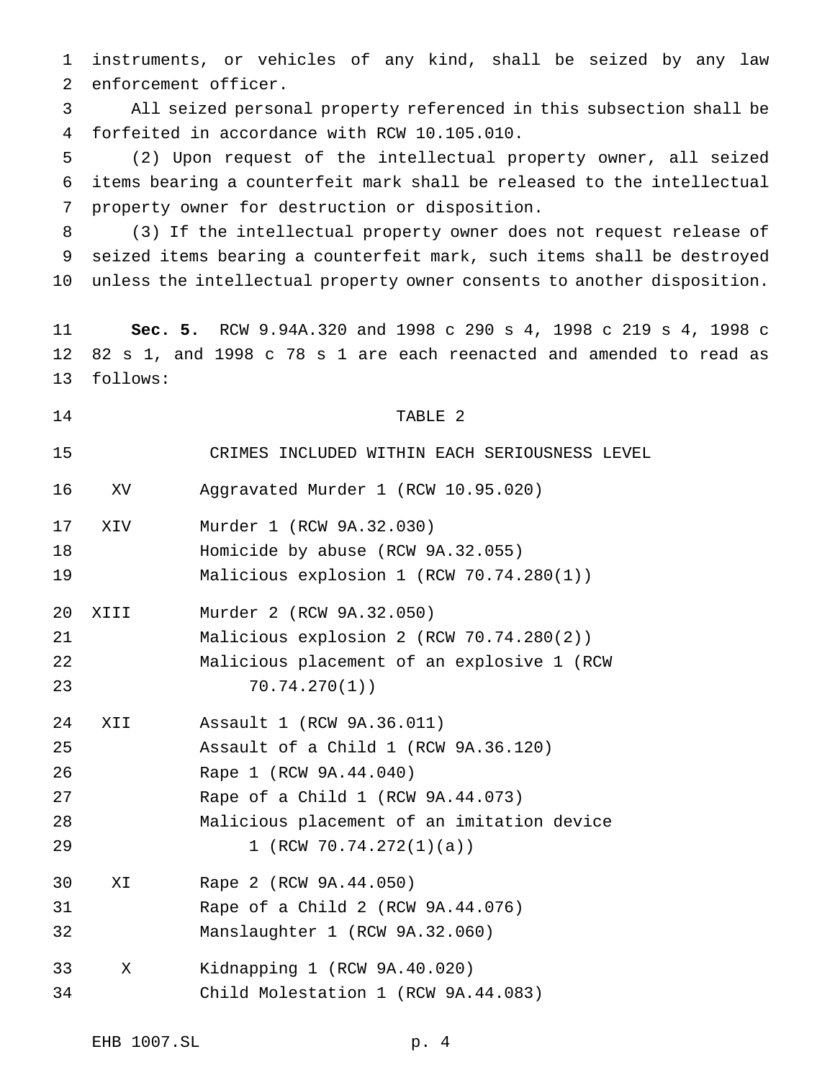instruments, or vehicles of any kind, shall be seized by any law enforcement officer.

 All seized personal property referenced in this subsection shall be forfeited in accordance with RCW 10.105.010.

 (2) Upon request of the intellectual property owner, all seized items bearing a counterfeit mark shall be released to the intellectual property owner for destruction or disposition.

 (3) If the intellectual property owner does not request release of seized items bearing a counterfeit mark, such items shall be destroyed unless the intellectual property owner consents to another disposition.

 **Sec. 5.** RCW 9.94A.320 and 1998 c 290 s 4, 1998 c 219 s 4, 1998 c 82 s 1, and 1998 c 78 s 1 are each reenacted and amended to read as follows:

## 14 TABLE 2

CRIMES INCLUDED WITHIN EACH SERIOUSNESS LEVEL

XV Aggravated Murder 1 (RCW 10.95.020)

XIV Murder 1 (RCW 9A.32.030)

 Homicide by abuse (RCW 9A.32.055) Malicious explosion 1 (RCW 70.74.280(1))

XIII Murder 2 (RCW 9A.32.050)

 Malicious explosion 2 (RCW 70.74.280(2)) Malicious placement of an explosive 1 (RCW

70.74.270(1))

XII Assault 1 (RCW 9A.36.011)

Assault of a Child 1 (RCW 9A.36.120)

Rape 1 (RCW 9A.44.040)

Rape of a Child 1 (RCW 9A.44.073)

 Malicious placement of an imitation device 29 1 (RCW 70.74.272(1)(a))

XI Rape 2 (RCW 9A.44.050)

Rape of a Child 2 (RCW 9A.44.076)

Manslaughter 1 (RCW 9A.32.060)

 X Kidnapping 1 (RCW 9A.40.020) Child Molestation 1 (RCW 9A.44.083)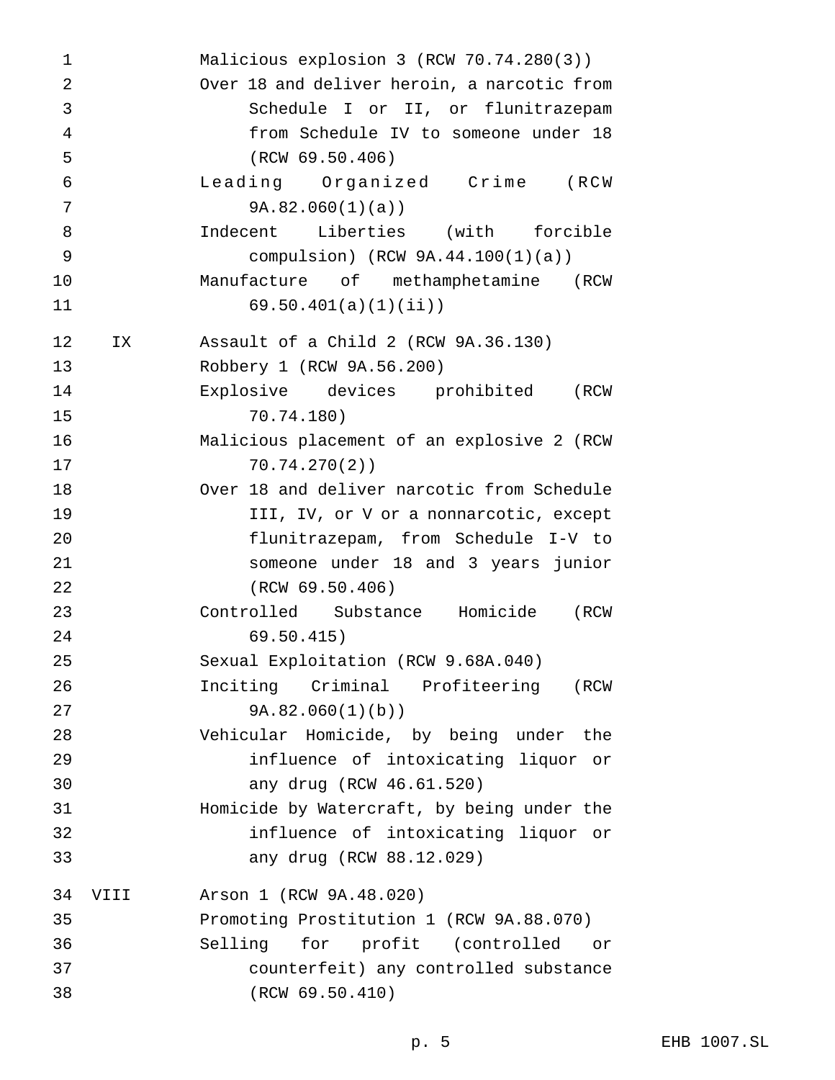|                |      | Malicious explosion 3 (RCW 70.74.280(3))    |
|----------------|------|---------------------------------------------|
| $\overline{2}$ |      | Over 18 and deliver heroin, a narcotic from |
| 3              |      | Schedule I or II, or flunitrazepam          |
| $\overline{4}$ |      | from Schedule IV to someone under 18        |
| 5              |      | (RCW 69.50.406)                             |
| $\epsilon$     |      | Leading Organized Crime (RCW                |
| 7              |      | 9A.82.060(1)(a)                             |
| 8              |      | Indecent Liberties (with forcible           |
| 9              |      | compulsion) (RCW 9A.44.100(1)(a))           |
| 10             |      | Manufacture of methamphetamine (RCW         |
| 11             |      | 69.50.401(a)(1)(ii)                         |
| 12             | IΧ   | Assault of a Child 2 (RCW 9A.36.130)        |
| 13             |      | Robbery 1 (RCW 9A.56.200)                   |
| 14             |      | Explosive devices prohibited (RCW           |
| 15             |      | 70.74.180)                                  |
| 16             |      | Malicious placement of an explosive 2 (RCW  |
| 17             |      | 70.74.270(2)                                |
| 18             |      | Over 18 and deliver narcotic from Schedule  |
| 19             |      | III, IV, or V or a nonnarcotic, except      |
| 20             |      | flunitrazepam, from Schedule I-V to         |
| 21             |      | someone under 18 and 3 years junior         |
| 22             |      | (RCW 69.50.406)                             |
| 23             |      | Controlled Substance Homicide<br>(RCW       |
| 24             |      | 69.50.415)                                  |
|                |      |                                             |
| 25             |      | Sexual Exploitation (RCW 9.68A.040)         |
| 26             |      | Inciting Criminal Profiteering (RCW         |
| 27             |      | 9A.82.060(1)(b)                             |
| 28             |      | Vehicular Homicide, by being under the      |
| 29             |      | influence of intoxicating liquor or         |
| 30             |      | any drug (RCW 46.61.520)                    |
| 31             |      | Homicide by Watercraft, by being under the  |
| 32             |      | influence of intoxicating liquor or         |
| 33             |      | any drug (RCW 88.12.029)                    |
| 34             | VIII | Arson 1 (RCW 9A.48.020)                     |
|                |      | Promoting Prostitution 1 (RCW 9A.88.070)    |
| 35<br>36       |      | Selling for profit (controlled<br>or        |
| 37<br>38       |      | counterfeit) any controlled substance       |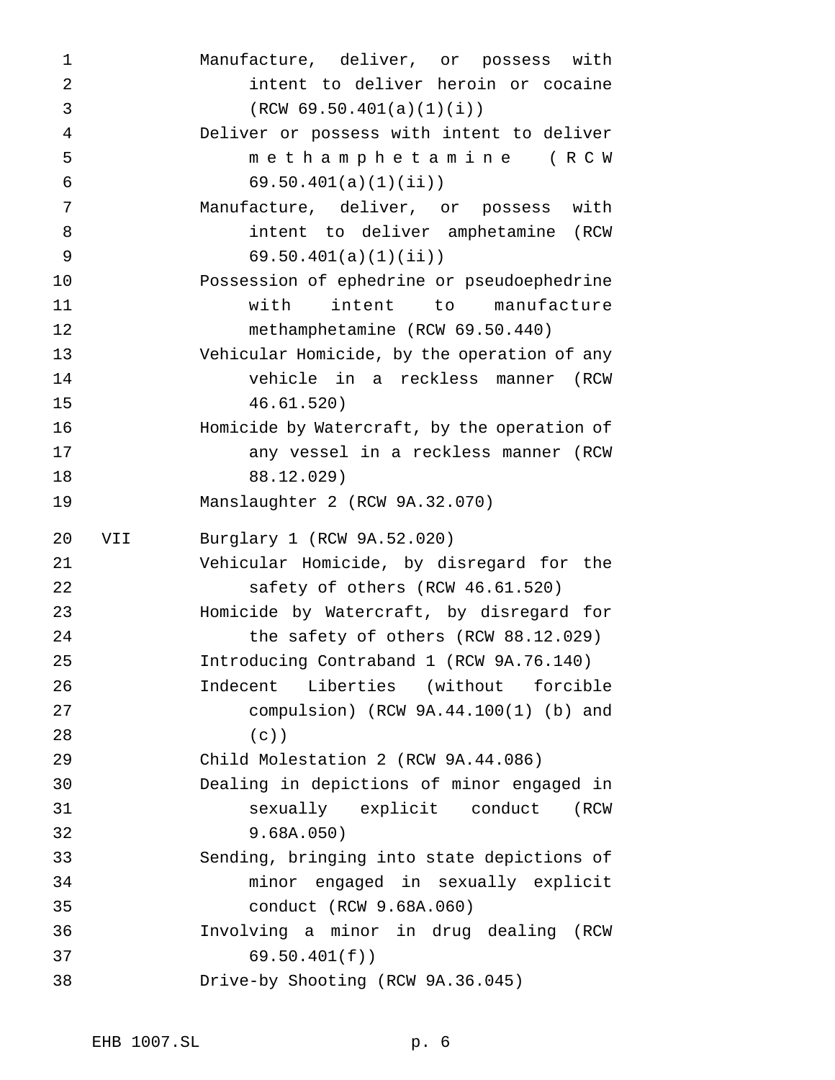| 1              |     | Manufacture, deliver, or possess with       |
|----------------|-----|---------------------------------------------|
| 2              |     | intent to deliver heroin or cocaine         |
| 3              |     | (RCW 69.50.401(a)(1)(i))                    |
| $\overline{4}$ |     | Deliver or possess with intent to deliver   |
| 5              |     | methamphetamine (RCW                        |
| 6              |     | 69.50.401(a)(1)(ii)                         |
| 7              |     | Manufacture, deliver, or possess<br>with    |
| 8              |     | intent to deliver amphetamine<br>(RCW       |
| 9              |     | 69.50.401(a)(1)(ii)                         |
| 10             |     | Possession of ephedrine or pseudoephedrine  |
| 11             |     | with intent to manufacture                  |
| 12             |     | methamphetamine (RCW 69.50.440)             |
| 13             |     | Vehicular Homicide, by the operation of any |
| 14             |     | vehicle in a reckless manner<br>(RCW        |
| 15             |     | 46.61.520)                                  |
| 16             |     | Homicide by Watercraft, by the operation of |
| 17             |     | any vessel in a reckless manner (RCW        |
| 18             |     | 88.12.029)                                  |
| 19             |     | Manslaughter 2 (RCW 9A.32.070)              |
|                |     |                                             |
| 20             | VII | Burglary 1 (RCW 9A.52.020)                  |
| 21             |     | Vehicular Homicide, by disregard for the    |
| 22             |     | safety of others (RCW 46.61.520)            |
| 23             |     | Homicide by Watercraft, by disregard for    |
| 24             |     | the safety of others (RCW 88.12.029)        |
| 25             |     | Introducing Contraband 1 (RCW 9A.76.140)    |
| 26             |     | Indecent Liberties (without forcible        |
| 27             |     | compulsion) (RCW 9A.44.100(1) (b) and       |
| 28             |     | $(c)$ )                                     |
| 29             |     | Child Molestation 2 (RCW 9A.44.086)         |
| 30             |     | Dealing in depictions of minor engaged in   |
| 31             |     | sexually explicit conduct<br>(RCW           |
| 32             |     | 9.68A.050)                                  |
| 33             |     | Sending, bringing into state depictions of  |
| 34             |     | minor engaged in sexually explicit          |
| 35             |     | conduct (RCW 9.68A.060)                     |
| 36             |     | Involving a minor in drug dealing (RCW      |
| 37             |     | 69.50.401(f)                                |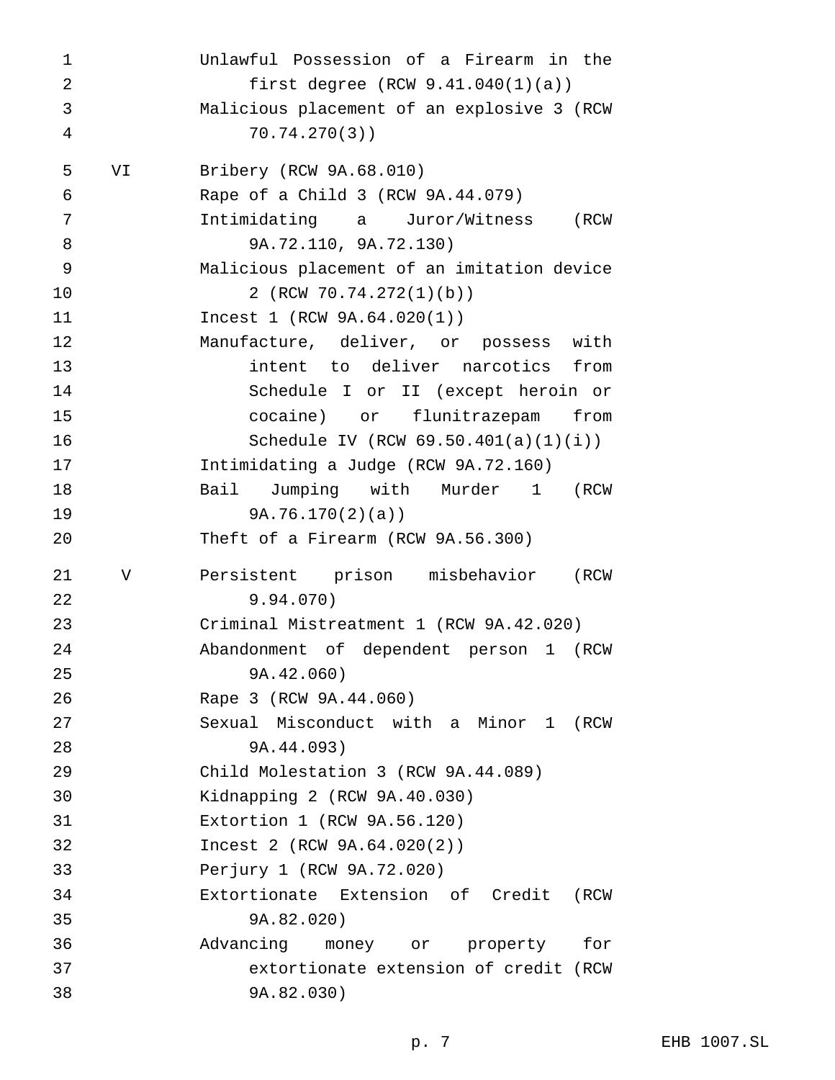Unlawful Possession of a Firearm in the first degree (RCW 9.41.040(1)(a)) Malicious placement of an explosive 3 (RCW 70.74.270(3)) VI Bribery (RCW 9A.68.010) Rape of a Child 3 (RCW 9A.44.079) Intimidating a Juror/Witness (RCW 9A.72.110, 9A.72.130) Malicious placement of an imitation device 10 2 (RCW 70.74.272(1)(b)) 11 Incest 1 (RCW 9A.64.020(1)) Manufacture, deliver, or possess with intent to deliver narcotics from Schedule I or II (except heroin or cocaine) or flunitrazepam from Schedule IV (RCW 69.50.401(a)(1)(i)) Intimidating a Judge (RCW 9A.72.160) Bail Jumping with Murder 1 (RCW 9A.76.170(2)(a)) Theft of a Firearm (RCW 9A.56.300) V Persistent prison misbehavior (RCW 9.94.070) Criminal Mistreatment 1 (RCW 9A.42.020) Abandonment of dependent person 1 (RCW 9A.42.060) Rape 3 (RCW 9A.44.060) Sexual Misconduct with a Minor 1 (RCW 9A.44.093) Child Molestation 3 (RCW 9A.44.089) Kidnapping 2 (RCW 9A.40.030) Extortion 1 (RCW 9A.56.120) Incest 2 (RCW 9A.64.020(2)) Perjury 1 (RCW 9A.72.020) Extortionate Extension of Credit (RCW 9A.82.020) Advancing money or property for extortionate extension of credit (RCW 9A.82.030)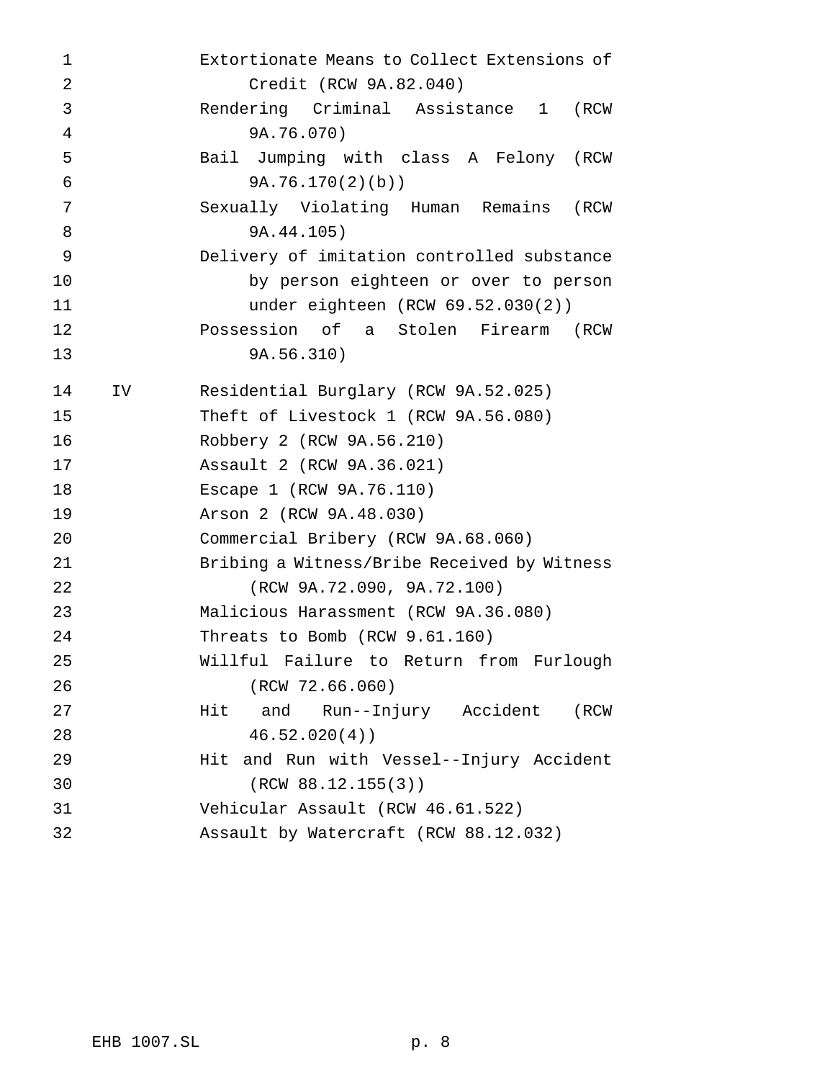| 1              |    | Extortionate Means to Collect Extensions of |
|----------------|----|---------------------------------------------|
| $\overline{2}$ |    | Credit (RCW 9A.82.040)                      |
| 3              |    | Rendering Criminal Assistance 1<br>(RCW     |
| $\overline{4}$ |    | 9A.76.070)                                  |
| 5              |    | Bail Jumping with class A Felony (RCW       |
| 6              |    | 9A.76.170(2)(b)                             |
| 7              |    | Sexually Violating Human Remains<br>(RCW    |
| 8              |    | 9A.44.105)                                  |
| 9              |    | Delivery of imitation controlled substance  |
| 10             |    | by person eighteen or over to person        |
| 11             |    | under eighteen (RCW 69.52.030(2))           |
| 12             |    | Possession of a Stolen Firearm (RCW         |
| 13             |    | 9A.56.310)                                  |
| 14             | IV | Residential Burglary (RCW 9A.52.025)        |
| 15             |    | Theft of Livestock 1 (RCW 9A.56.080)        |
| 16             |    | Robbery 2 (RCW 9A.56.210)                   |
| $17$           |    | Assault 2 (RCW 9A.36.021)                   |
| 18             |    | Escape 1 (RCW 9A.76.110)                    |
| 19             |    | Arson 2 (RCW 9A.48.030)                     |
| 20             |    | Commercial Bribery (RCW 9A.68.060)          |
| 21             |    | Bribing a Witness/Bribe Received by Witness |
| 22             |    | (RCW 9A.72.090, 9A.72.100)                  |
| 23             |    | Malicious Harassment (RCW 9A.36.080)        |
| 24             |    | Threats to Bomb (RCW 9.61.160)              |
| 25             |    | Willful Failure to Return from Furlough     |
| 26             |    | (RCW 72.66.060)                             |
| 27             |    | and Run--Injury Accident<br>Hit<br>(RCW     |
| 28             |    | 46.52.020(4)                                |
| 29             |    | Hit and Run with Vessel--Injury Accident    |
| 30             |    | (RCW 88.12.155(3))                          |
| 31             |    | Vehicular Assault (RCW 46.61.522)           |
| 32             |    | Assault by Watercraft (RCW 88.12.032)       |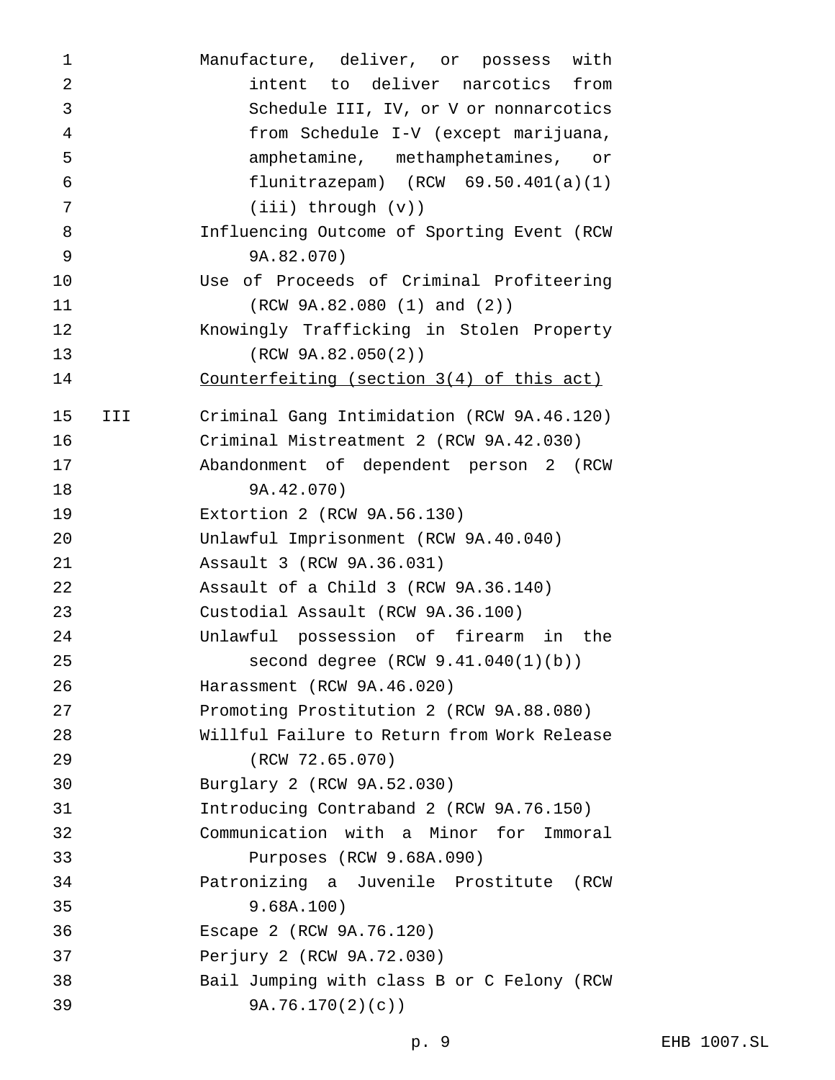Manufacture, deliver, or possess with intent to deliver narcotics from Schedule III, IV, or V or nonnarcotics from Schedule I-V (except marijuana, amphetamine, methamphetamines, or flunitrazepam) (RCW 69.50.401(a)(1) (iii) through (v)) Influencing Outcome of Sporting Event (RCW 9A.82.070) Use of Proceeds of Criminal Profiteering (RCW 9A.82.080 (1) and (2)) Knowingly Trafficking in Stolen Property (RCW 9A.82.050(2)) Counterfeiting (section 3(4) of this act) III Criminal Gang Intimidation (RCW 9A.46.120) Criminal Mistreatment 2 (RCW 9A.42.030) Abandonment of dependent person 2 (RCW 9A.42.070) Extortion 2 (RCW 9A.56.130) Unlawful Imprisonment (RCW 9A.40.040) Assault 3 (RCW 9A.36.031) Assault of a Child 3 (RCW 9A.36.140) Custodial Assault (RCW 9A.36.100) Unlawful possession of firearm in the second degree (RCW 9.41.040(1)(b)) Harassment (RCW 9A.46.020) Promoting Prostitution 2 (RCW 9A.88.080) Willful Failure to Return from Work Release (RCW 72.65.070) Burglary 2 (RCW 9A.52.030) Introducing Contraband 2 (RCW 9A.76.150) Communication with a Minor for Immoral Purposes (RCW 9.68A.090) Patronizing a Juvenile Prostitute (RCW 9.68A.100) Escape 2 (RCW 9A.76.120) Perjury 2 (RCW 9A.72.030) Bail Jumping with class B or C Felony (RCW 9A.76.170(2)(c))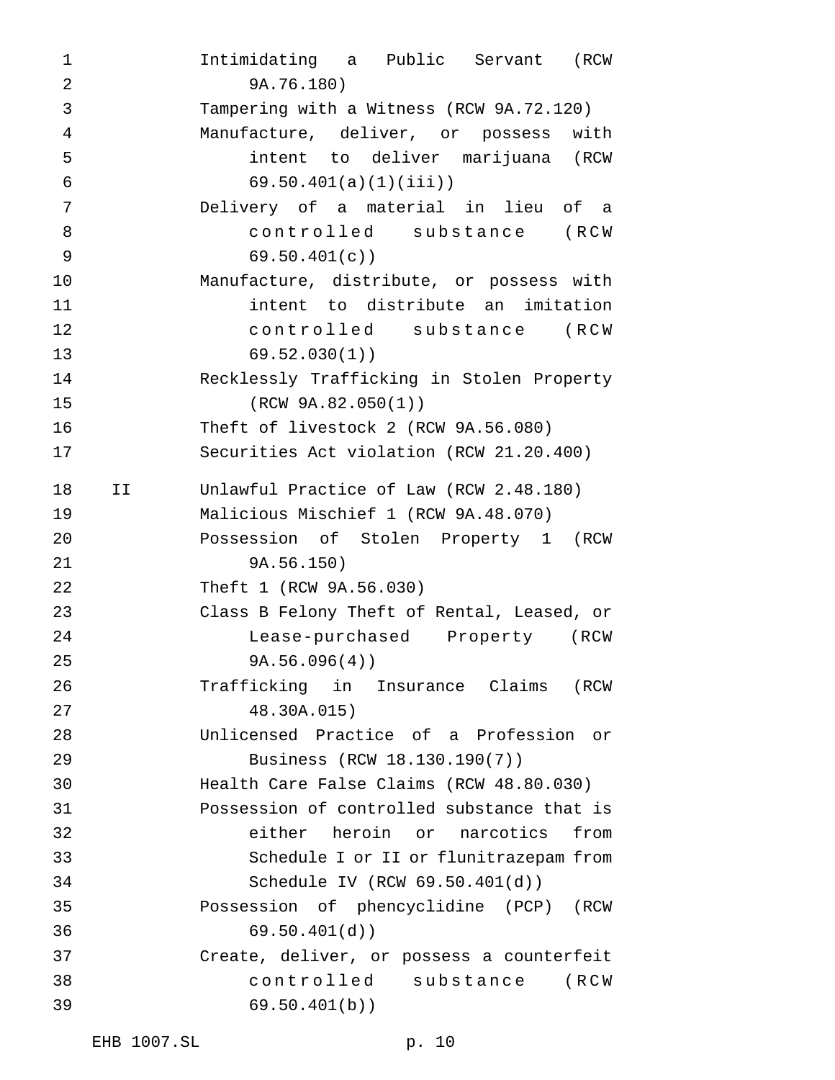Intimidating a Public Servant (RCW 9A.76.180) Tampering with a Witness (RCW 9A.72.120) Manufacture, deliver, or possess with intent to deliver marijuana (RCW 69.50.401(a)(1)(iii)) Delivery of a material in lieu of a controlled substance (RCW 69.50.401(c)) Manufacture, distribute, or possess with intent to distribute an imitation controlled substance (RCW 69.52.030(1)) Recklessly Trafficking in Stolen Property (RCW 9A.82.050(1)) Theft of livestock 2 (RCW 9A.56.080) Securities Act violation (RCW 21.20.400) II Unlawful Practice of Law (RCW 2.48.180) Malicious Mischief 1 (RCW 9A.48.070) Possession of Stolen Property 1 (RCW 9A.56.150) Theft 1 (RCW 9A.56.030) Class B Felony Theft of Rental, Leased, or Lease-purchased Property (RCW 9A.56.096(4)) Trafficking in Insurance Claims (RCW 48.30A.015) Unlicensed Practice of a Profession or Business (RCW 18.130.190(7)) Health Care False Claims (RCW 48.80.030) Possession of controlled substance that is either heroin or narcotics from Schedule I or II or flunitrazepam from Schedule IV (RCW 69.50.401(d)) Possession of phencyclidine (PCP) (RCW 69.50.401(d)) Create, deliver, or possess a counterfeit controlled substance (RCW 69.50.401(b))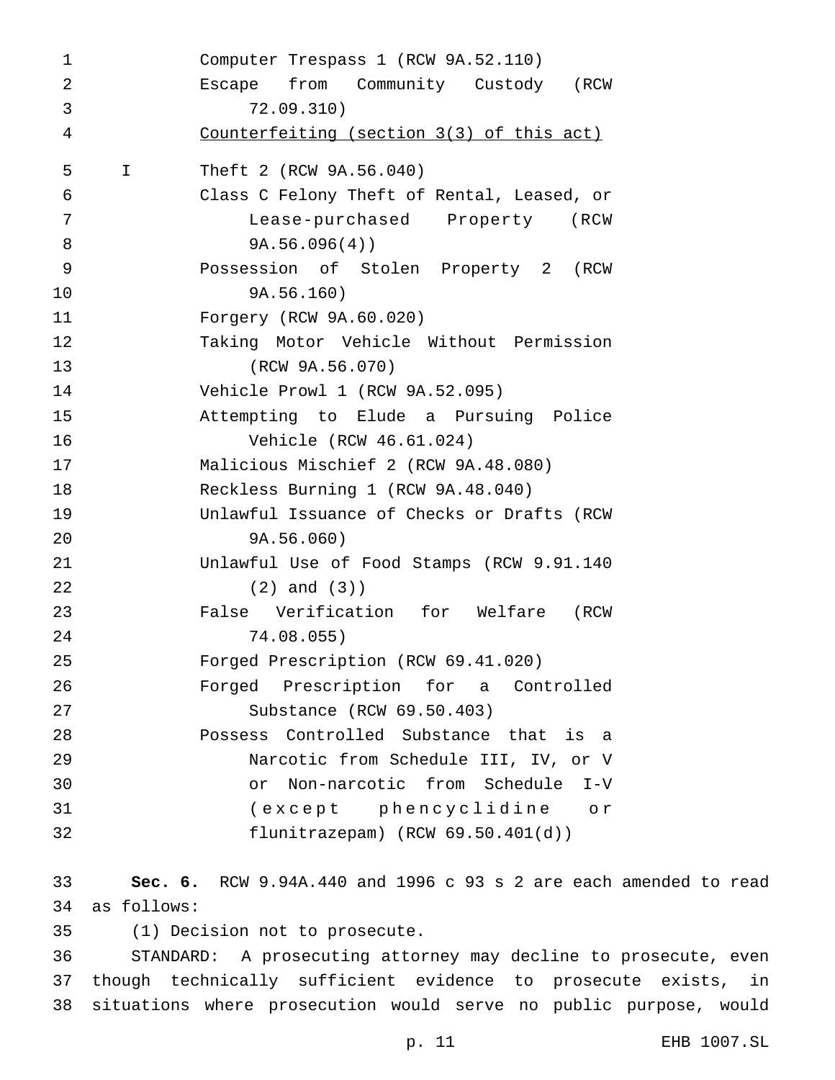Computer Trespass 1 (RCW 9A.52.110) Escape from Community Custody (RCW 72.09.310) Counterfeiting (section 3(3) of this act) I Theft 2 (RCW 9A.56.040) Class C Felony Theft of Rental, Leased, or Lease-purchased Property (RCW 9A.56.096(4)) Possession of Stolen Property 2 (RCW 9A.56.160) Forgery (RCW 9A.60.020) Taking Motor Vehicle Without Permission (RCW 9A.56.070) Vehicle Prowl 1 (RCW 9A.52.095) Attempting to Elude a Pursuing Police Vehicle (RCW 46.61.024) Malicious Mischief 2 (RCW 9A.48.080) Reckless Burning 1 (RCW 9A.48.040) Unlawful Issuance of Checks or Drafts (RCW 9A.56.060) Unlawful Use of Food Stamps (RCW 9.91.140 (2) and (3)) False Verification for Welfare (RCW 74.08.055) Forged Prescription (RCW 69.41.020) Forged Prescription for a Controlled Substance (RCW 69.50.403) Possess Controlled Substance that is a Narcotic from Schedule III, IV, or V or Non-narcotic from Schedule I-V (except phencyclidine or flunitrazepam) (RCW 69.50.401(d))

 **Sec. 6.** RCW 9.94A.440 and 1996 c 93 s 2 are each amended to read as follows:

(1) Decision not to prosecute.

 STANDARD: A prosecuting attorney may decline to prosecute, even though technically sufficient evidence to prosecute exists, in situations where prosecution would serve no public purpose, would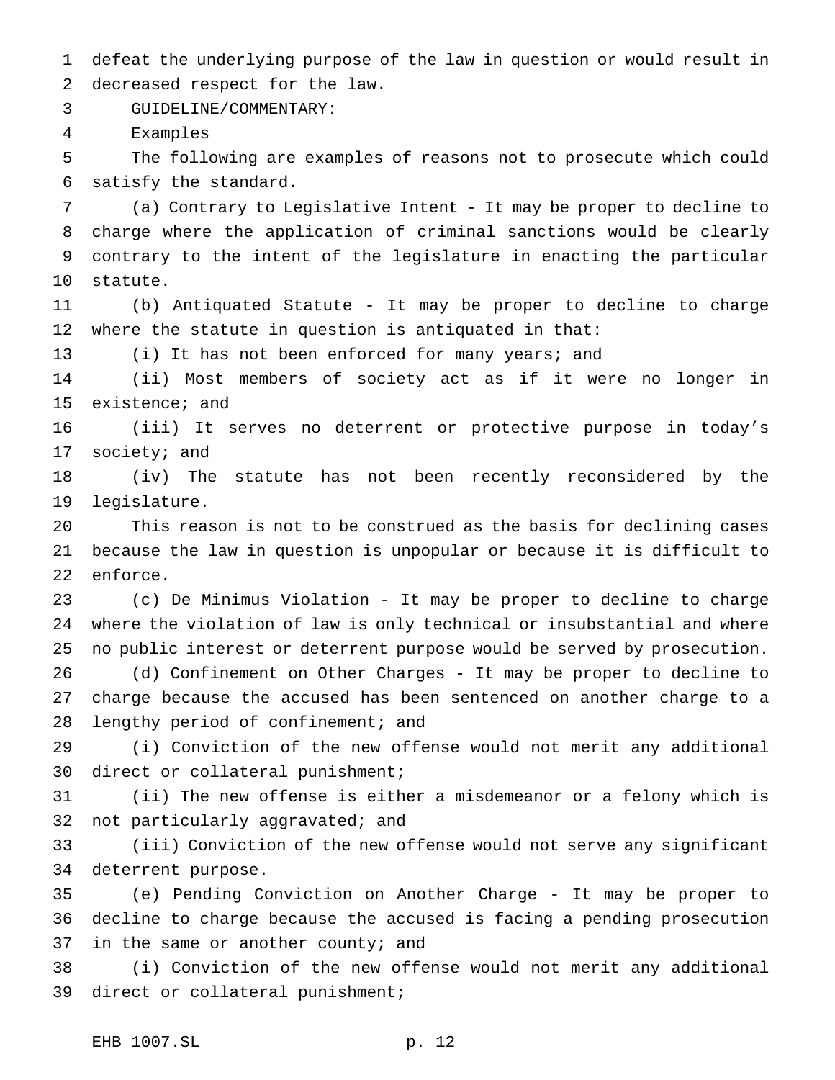defeat the underlying purpose of the law in question or would result in decreased respect for the law.

GUIDELINE/COMMENTARY:

Examples

 The following are examples of reasons not to prosecute which could satisfy the standard.

 (a) Contrary to Legislative Intent - It may be proper to decline to charge where the application of criminal sanctions would be clearly contrary to the intent of the legislature in enacting the particular statute.

 (b) Antiquated Statute - It may be proper to decline to charge where the statute in question is antiquated in that:

(i) It has not been enforced for many years; and

 (ii) Most members of society act as if it were no longer in existence; and

 (iii) It serves no deterrent or protective purpose in today's society; and

 (iv) The statute has not been recently reconsidered by the legislature.

 This reason is not to be construed as the basis for declining cases because the law in question is unpopular or because it is difficult to enforce.

 (c) De Minimus Violation - It may be proper to decline to charge where the violation of law is only technical or insubstantial and where no public interest or deterrent purpose would be served by prosecution.

 (d) Confinement on Other Charges - It may be proper to decline to charge because the accused has been sentenced on another charge to a 28 lengthy period of confinement; and

 (i) Conviction of the new offense would not merit any additional direct or collateral punishment;

 (ii) The new offense is either a misdemeanor or a felony which is not particularly aggravated; and

 (iii) Conviction of the new offense would not serve any significant deterrent purpose.

 (e) Pending Conviction on Another Charge - It may be proper to decline to charge because the accused is facing a pending prosecution 37 in the same or another county; and

 (i) Conviction of the new offense would not merit any additional direct or collateral punishment;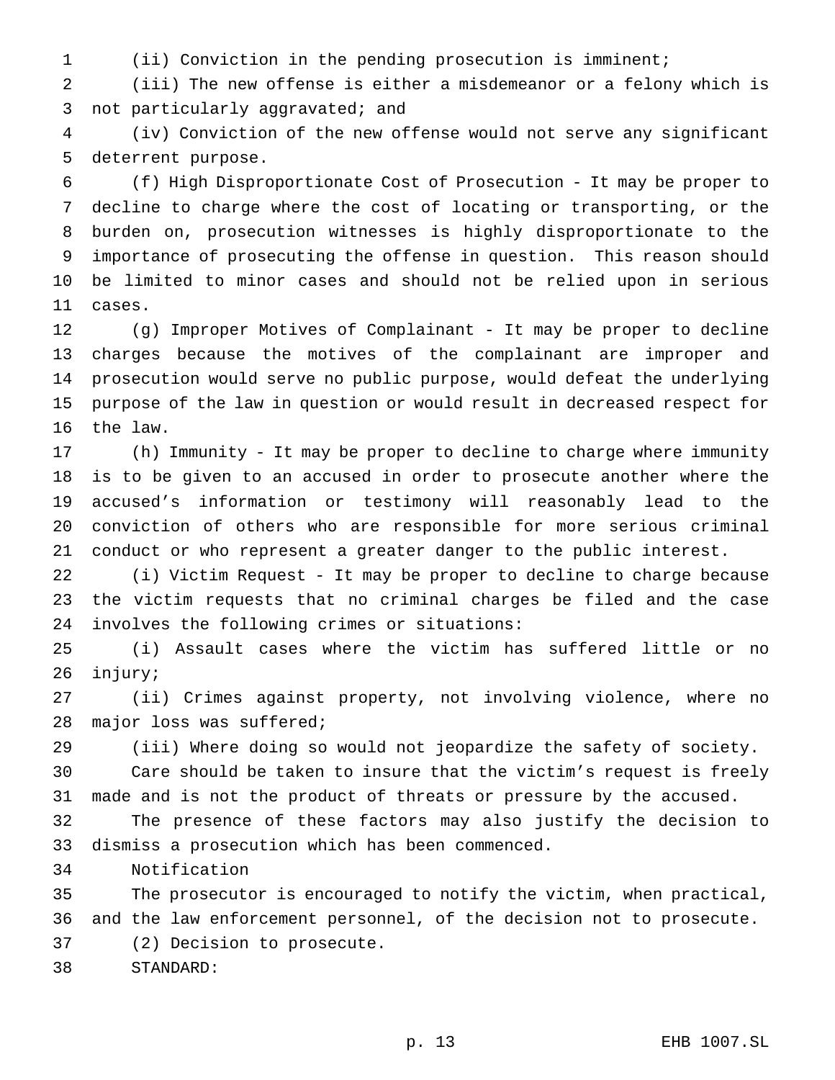(ii) Conviction in the pending prosecution is imminent;

 (iii) The new offense is either a misdemeanor or a felony which is not particularly aggravated; and

 (iv) Conviction of the new offense would not serve any significant deterrent purpose.

 (f) High Disproportionate Cost of Prosecution - It may be proper to decline to charge where the cost of locating or transporting, or the burden on, prosecution witnesses is highly disproportionate to the importance of prosecuting the offense in question. This reason should be limited to minor cases and should not be relied upon in serious cases.

 (g) Improper Motives of Complainant - It may be proper to decline charges because the motives of the complainant are improper and prosecution would serve no public purpose, would defeat the underlying purpose of the law in question or would result in decreased respect for the law.

 (h) Immunity - It may be proper to decline to charge where immunity is to be given to an accused in order to prosecute another where the accused's information or testimony will reasonably lead to the conviction of others who are responsible for more serious criminal conduct or who represent a greater danger to the public interest.

 (i) Victim Request - It may be proper to decline to charge because the victim requests that no criminal charges be filed and the case involves the following crimes or situations:

 (i) Assault cases where the victim has suffered little or no injury;

 (ii) Crimes against property, not involving violence, where no major loss was suffered;

(iii) Where doing so would not jeopardize the safety of society.

 Care should be taken to insure that the victim's request is freely made and is not the product of threats or pressure by the accused.

 The presence of these factors may also justify the decision to dismiss a prosecution which has been commenced.

Notification

 The prosecutor is encouraged to notify the victim, when practical, and the law enforcement personnel, of the decision not to prosecute. (2) Decision to prosecute.

STANDARD: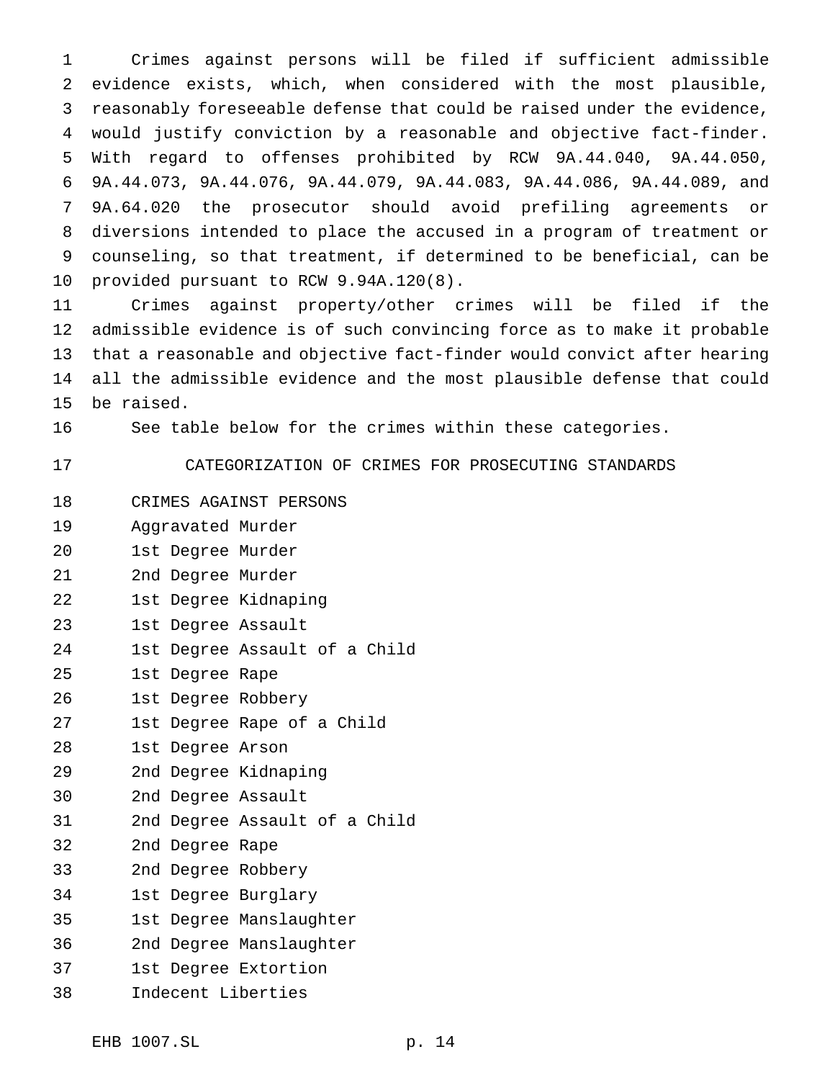Crimes against persons will be filed if sufficient admissible evidence exists, which, when considered with the most plausible, reasonably foreseeable defense that could be raised under the evidence, would justify conviction by a reasonable and objective fact-finder. With regard to offenses prohibited by RCW 9A.44.040, 9A.44.050, 9A.44.073, 9A.44.076, 9A.44.079, 9A.44.083, 9A.44.086, 9A.44.089, and 9A.64.020 the prosecutor should avoid prefiling agreements or diversions intended to place the accused in a program of treatment or counseling, so that treatment, if determined to be beneficial, can be provided pursuant to RCW 9.94A.120(8).

 Crimes against property/other crimes will be filed if the admissible evidence is of such convincing force as to make it probable that a reasonable and objective fact-finder would convict after hearing all the admissible evidence and the most plausible defense that could be raised.

See table below for the crimes within these categories.

CATEGORIZATION OF CRIMES FOR PROSECUTING STANDARDS

CRIMES AGAINST PERSONS

Aggravated Murder

1st Degree Murder

2nd Degree Murder

1st Degree Kidnaping

1st Degree Assault

1st Degree Assault of a Child

1st Degree Rape

1st Degree Robbery

1st Degree Rape of a Child

1st Degree Arson

2nd Degree Kidnaping

2nd Degree Assault

2nd Degree Assault of a Child

2nd Degree Rape

2nd Degree Robbery

1st Degree Burglary

- 1st Degree Manslaughter
- 2nd Degree Manslaughter
- 1st Degree Extortion
- Indecent Liberties

EHB 1007.SL p. 14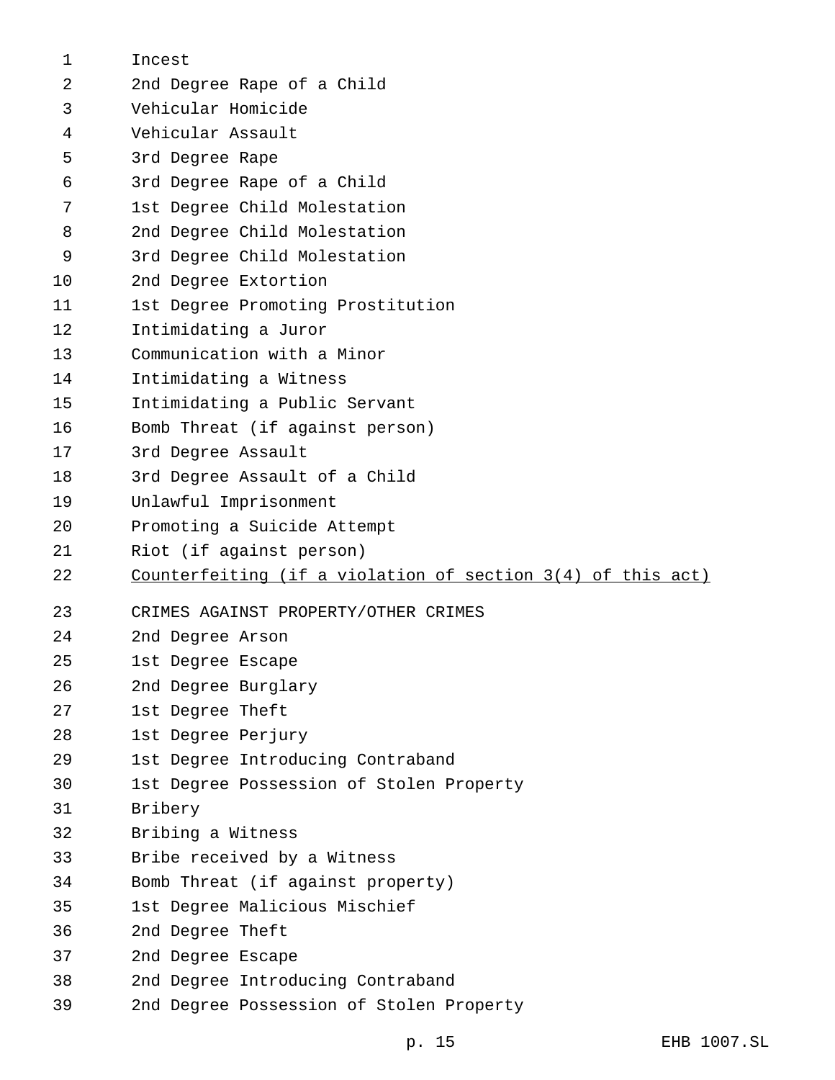| 1       | Incest                                                      |
|---------|-------------------------------------------------------------|
| 2       | 2nd Degree Rape of a Child                                  |
| 3       | Vehicular Homicide                                          |
| 4       | Vehicular Assault                                           |
| 5       | 3rd Degree Rape                                             |
| 6       | 3rd Degree Rape of a Child                                  |
| 7       | 1st Degree Child Molestation                                |
| 8       | 2nd Degree Child Molestation                                |
| 9       | 3rd Degree Child Molestation                                |
| 10      | 2nd Degree Extortion                                        |
| 11      | 1st Degree Promoting Prostitution                           |
| $12 \,$ | Intimidating a Juror                                        |
| 13      | Communication with a Minor                                  |
| 14      | Intimidating a Witness                                      |
| 15      | Intimidating a Public Servant                               |
| 16      | Bomb Threat (if against person)                             |
| 17      | 3rd Degree Assault                                          |
| 18      | 3rd Degree Assault of a Child                               |
| 19      | Unlawful Imprisonment                                       |
| 20      | Promoting a Suicide Attempt                                 |
| 21      | Riot (if against person)                                    |
| 22      | Counterfeiting (if a violation of section 3(4) of this act) |
| 23      | CRIMES AGAINST PROPERTY/OTHER CRIMES                        |
| 24      | 2nd Degree Arson                                            |
| 25      | 1st Degree Escape                                           |
| 26      | 2nd Degree Burglary                                         |
| 27      | 1st Degree Theft                                            |
| 28      | 1st Degree Perjury                                          |
| 29      | 1st Degree Introducing Contraband                           |
| 30      | 1st Degree Possession of Stolen Property                    |
| 31      | Bribery                                                     |
| 32      | Bribing a Witness                                           |
| 33      | Bribe received by a Witness                                 |
| 34      | Bomb Threat (if against property)                           |
| 35      | 1st Degree Malicious Mischief                               |
| 36      | 2nd Degree Theft                                            |
| 37      | 2nd Degree Escape                                           |
| 38      | 2nd Degree Introducing Contraband                           |
| 39      | 2nd Degree Possession of Stolen Property                    |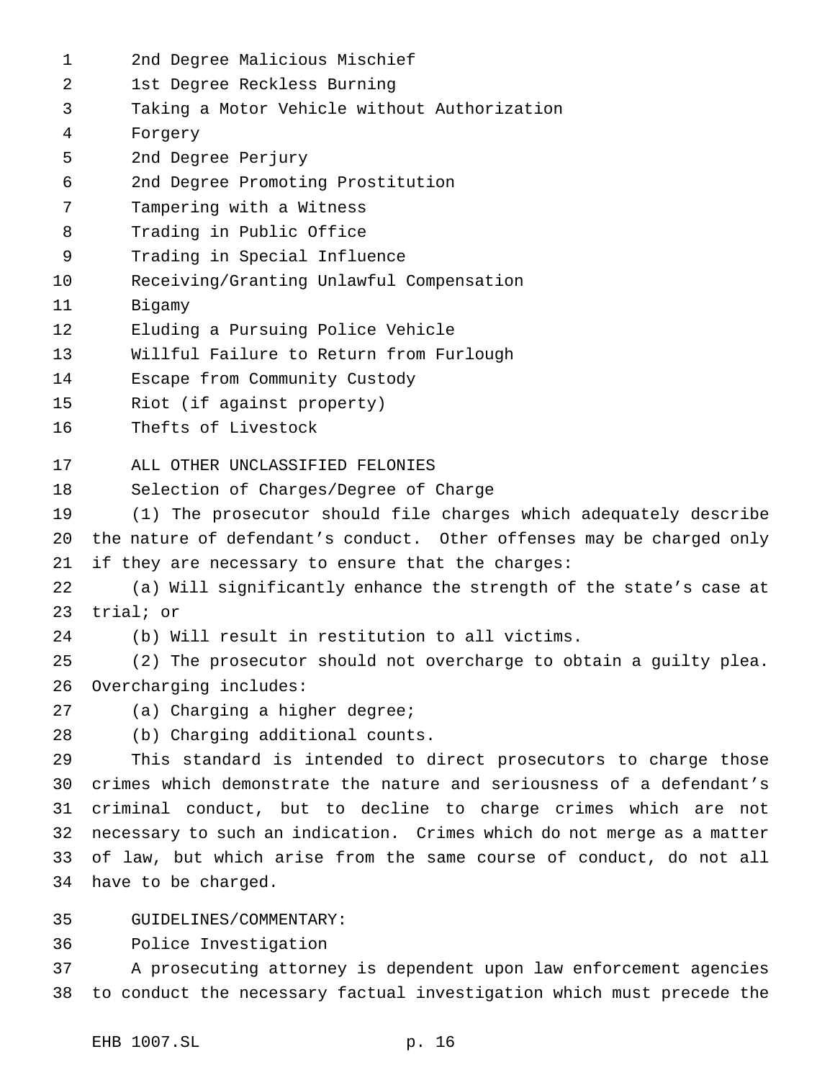2nd Degree Malicious Mischief 1st Degree Reckless Burning Taking a Motor Vehicle without Authorization Forgery 2nd Degree Perjury 2nd Degree Promoting Prostitution Tampering with a Witness Trading in Public Office Trading in Special Influence Receiving/Granting Unlawful Compensation Bigamy Eluding a Pursuing Police Vehicle Willful Failure to Return from Furlough Escape from Community Custody Riot (if against property) Thefts of Livestock ALL OTHER UNCLASSIFIED FELONIES Selection of Charges/Degree of Charge (1) The prosecutor should file charges which adequately describe the nature of defendant's conduct. Other offenses may be charged only if they are necessary to ensure that the charges: (a) Will significantly enhance the strength of the state's case at trial; or (b) Will result in restitution to all victims. (2) The prosecutor should not overcharge to obtain a guilty plea. Overcharging includes: (a) Charging a higher degree; (b) Charging additional counts. This standard is intended to direct prosecutors to charge those crimes which demonstrate the nature and seriousness of a defendant's criminal conduct, but to decline to charge crimes which are not necessary to such an indication. Crimes which do not merge as a matter of law, but which arise from the same course of conduct, do not all have to be charged. GUIDELINES/COMMENTARY: Police Investigation

 A prosecuting attorney is dependent upon law enforcement agencies to conduct the necessary factual investigation which must precede the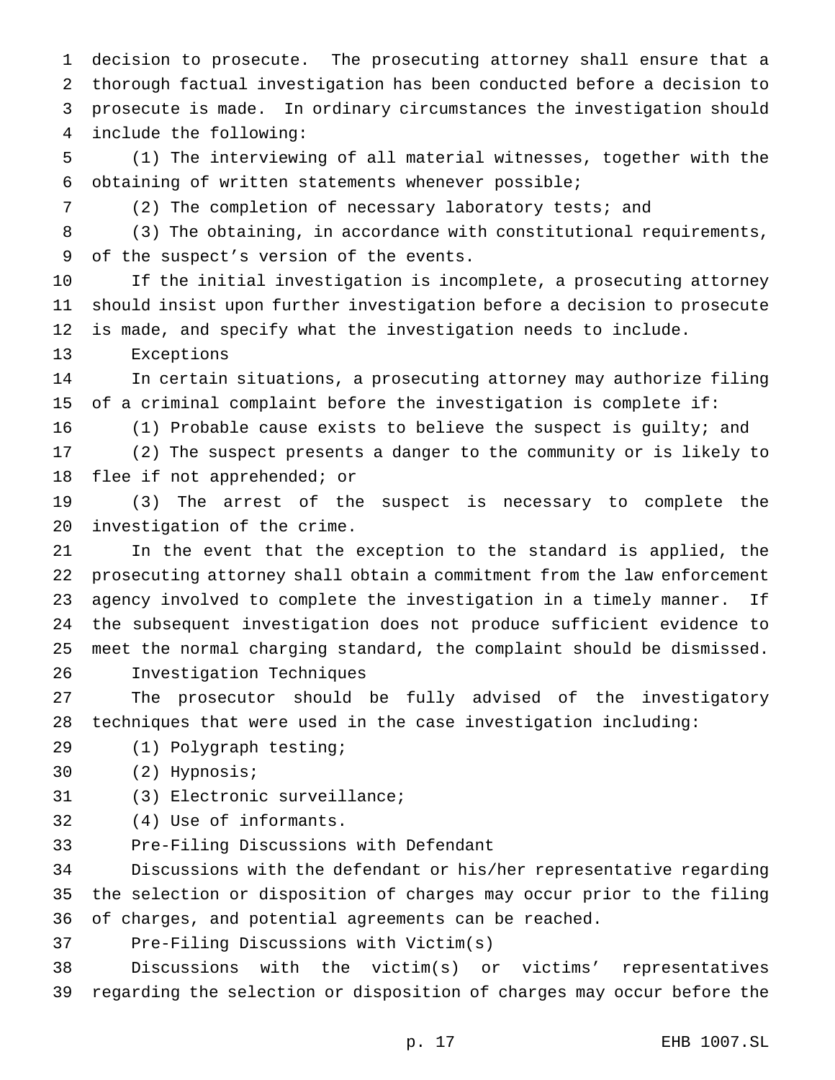decision to prosecute. The prosecuting attorney shall ensure that a thorough factual investigation has been conducted before a decision to prosecute is made. In ordinary circumstances the investigation should include the following:

 (1) The interviewing of all material witnesses, together with the obtaining of written statements whenever possible;

(2) The completion of necessary laboratory tests; and

 (3) The obtaining, in accordance with constitutional requirements, of the suspect's version of the events.

 If the initial investigation is incomplete, a prosecuting attorney should insist upon further investigation before a decision to prosecute is made, and specify what the investigation needs to include.

Exceptions

 In certain situations, a prosecuting attorney may authorize filing of a criminal complaint before the investigation is complete if:

(1) Probable cause exists to believe the suspect is guilty; and

 (2) The suspect presents a danger to the community or is likely to flee if not apprehended; or

 (3) The arrest of the suspect is necessary to complete the investigation of the crime.

 In the event that the exception to the standard is applied, the prosecuting attorney shall obtain a commitment from the law enforcement agency involved to complete the investigation in a timely manner. If the subsequent investigation does not produce sufficient evidence to meet the normal charging standard, the complaint should be dismissed. Investigation Techniques

 The prosecutor should be fully advised of the investigatory techniques that were used in the case investigation including:

(1) Polygraph testing;

(2) Hypnosis;

(3) Electronic surveillance;

(4) Use of informants.

Pre-Filing Discussions with Defendant

 Discussions with the defendant or his/her representative regarding the selection or disposition of charges may occur prior to the filing of charges, and potential agreements can be reached.

Pre-Filing Discussions with Victim(s)

 Discussions with the victim(s) or victims' representatives regarding the selection or disposition of charges may occur before the